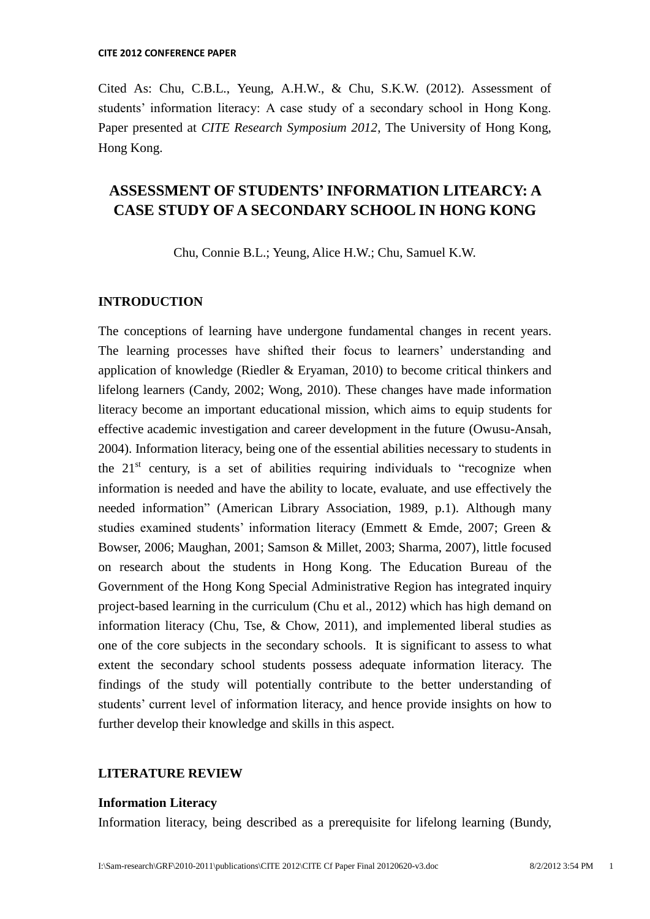Cited As: Chu, C.B.L., Yeung, A.H.W., & Chu, S.K.W. (2012). Assessment of students' information literacy: A case study of a secondary school in Hong Kong. Paper presented at *CITE Research Symposium 2012*, The University of Hong Kong, Hong Kong.

# **ASSESSMENT OF STUDENTS'INFORMATION LITEARCY: A CASE STUDY OF A SECONDARY SCHOOL IN HONG KONG**

Chu, Connie B.L.; Yeung, Alice H.W.; Chu, Samuel K.W.

### **INTRODUCTION**

The conceptions of learning have undergone fundamental changes in recent years. The learning processes have shifted their focus to learners' understanding and application of knowledge (Riedler & Eryaman, 2010) to become critical thinkers and lifelong learners (Candy, 2002; Wong, 2010). These changes have made information literacy become an important educational mission, which aims to equip students for effective academic investigation and career development in the future (Owusu-Ansah, 2004). Information literacy, being one of the essential abilities necessary to students in the  $21<sup>st</sup>$  century, is a set of abilities requiring individuals to "recognize when information is needed and have the ability to locate, evaluate, and use effectively the needed information" (American Library Association, 1989, p.1). Although many studies examined students' information literacy (Emmett & Emde, 2007; Green & Bowser, 2006; Maughan, 2001; Samson & Millet, 2003; Sharma, 2007), little focused on research about the students in Hong Kong. The Education Bureau of the Government of the Hong Kong Special Administrative Region has integrated inquiry project-based learning in the curriculum (Chu et al., 2012) which has high demand on information literacy (Chu, Tse, & Chow, 2011), and implemented liberal studies as one of the core subjects in the secondary schools. It is significant to assess to what extent the secondary school students possess adequate information literacy. The findings of the study will potentially contribute to the better understanding of students' current level of information literacy, and hence provide insights on how to further develop their knowledge and skills in this aspect.

## **LITERATURE REVIEW**

#### **Information Literacy**

Information literacy, being described as a prerequisite for lifelong learning (Bundy,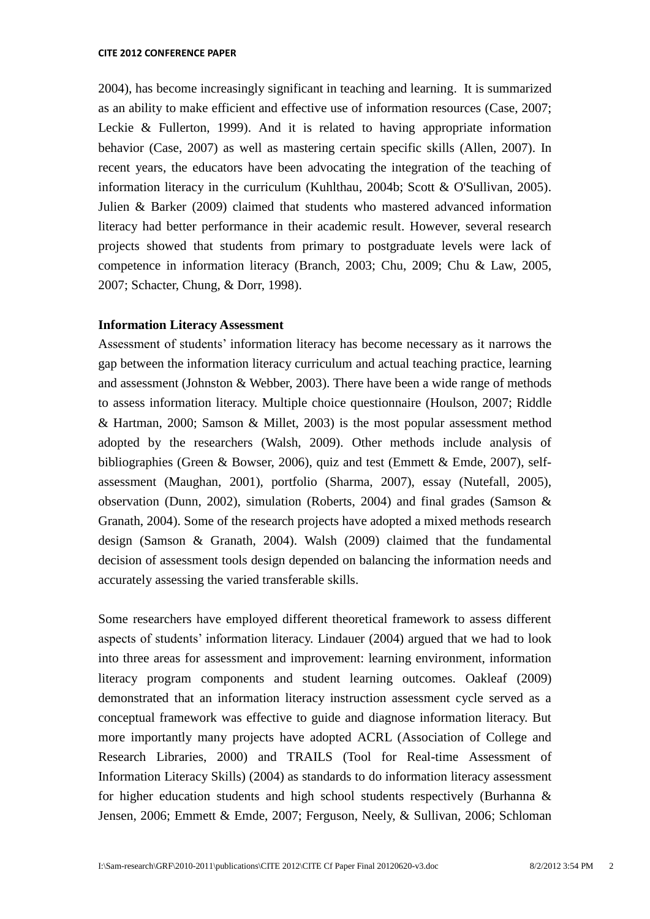2004), has become increasingly significant in teaching and learning. It is summarized as an ability to make efficient and effective use of information resources (Case, 2007; Leckie & Fullerton, 1999). And it is related to having appropriate information behavior (Case, 2007) as well as mastering certain specific skills (Allen, 2007). In recent years, the educators have been advocating the integration of the teaching of information literacy in the curriculum (Kuhlthau, 2004b; Scott & O'Sullivan, 2005). Julien & Barker (2009) claimed that students who mastered advanced information literacy had better performance in their academic result. However, several research projects showed that students from primary to postgraduate levels were lack of competence in information literacy (Branch, 2003; Chu, 2009; Chu & Law, 2005, 2007; Schacter, Chung, & Dorr, 1998).

#### **Information Literacy Assessment**

Assessment of students" information literacy has become necessary as it narrows the gap between the information literacy curriculum and actual teaching practice, learning and assessment (Johnston & Webber, 2003). There have been a wide range of methods to assess information literacy. Multiple choice questionnaire (Houlson, 2007; Riddle & Hartman, 2000; Samson & Millet, 2003) is the most popular assessment method adopted by the researchers (Walsh, 2009). Other methods include analysis of bibliographies (Green & Bowser, 2006), quiz and test (Emmett & Emde, 2007), selfassessment (Maughan, 2001), portfolio (Sharma, 2007), essay (Nutefall, 2005), observation (Dunn, 2002), simulation (Roberts, 2004) and final grades (Samson & Granath, 2004). Some of the research projects have adopted a mixed methods research design (Samson & Granath, 2004). Walsh (2009) claimed that the fundamental decision of assessment tools design depended on balancing the information needs and accurately assessing the varied transferable skills.

Some researchers have employed different theoretical framework to assess different aspects of students" information literacy. Lindauer (2004) argued that we had to look into three areas for assessment and improvement: learning environment, information literacy program components and student learning outcomes. Oakleaf (2009) demonstrated that an information literacy instruction assessment cycle served as a conceptual framework was effective to guide and diagnose information literacy. But more importantly many projects have adopted ACRL (Association of College and Research Libraries, 2000) and TRAILS (Tool for Real-time Assessment of Information Literacy Skills) (2004) as standards to do information literacy assessment for higher education students and high school students respectively (Burhanna & Jensen, 2006; Emmett & Emde, 2007; Ferguson, Neely, & Sullivan, 2006; Schloman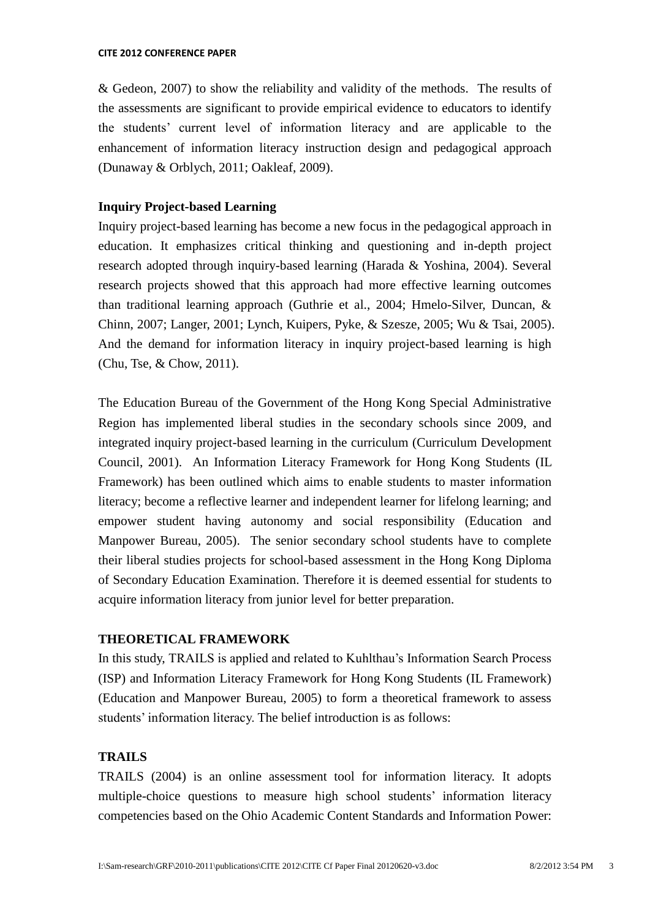& Gedeon, 2007) to show the reliability and validity of the methods. The results of the assessments are significant to provide empirical evidence to educators to identify the students" current level of information literacy and are applicable to the enhancement of information literacy instruction design and pedagogical approach (Dunaway & Orblych, 2011; Oakleaf, 2009).

## **Inquiry Project-based Learning**

Inquiry project-based learning has become a new focus in the pedagogical approach in education. It emphasizes critical thinking and questioning and in-depth project research adopted through inquiry-based learning (Harada & Yoshina, 2004). Several research projects showed that this approach had more effective learning outcomes than traditional learning approach (Guthrie et al., 2004; Hmelo-Silver, Duncan, & Chinn, 2007; Langer, 2001; Lynch, Kuipers, Pyke, & Szesze, 2005; Wu & Tsai, 2005). And the demand for information literacy in inquiry project-based learning is high (Chu, Tse, & Chow, 2011).

The Education Bureau of the Government of the Hong Kong Special Administrative Region has implemented liberal studies in the secondary schools since 2009, and integrated inquiry project-based learning in the curriculum (Curriculum Development Council, 2001). An Information Literacy Framework for Hong Kong Students (IL Framework) has been outlined which aims to enable students to master information literacy; become a reflective learner and independent learner for lifelong learning; and empower student having autonomy and social responsibility (Education and Manpower Bureau, 2005). The senior secondary school students have to complete their liberal studies projects for school-based assessment in the Hong Kong Diploma of Secondary Education Examination. Therefore it is deemed essential for students to acquire information literacy from junior level for better preparation.

# **THEORETICAL FRAMEWORK**

In this study, TRAILS is applied and related to Kuhlthau"s Information Search Process (ISP) and Information Literacy Framework for Hong Kong Students (IL Framework) (Education and Manpower Bureau, 2005) to form a theoretical framework to assess students' information literacy. The belief introduction is as follows:

## **TRAILS**

TRAILS (2004) is an online assessment tool for information literacy. It adopts multiple-choice questions to measure high school students" information literacy competencies based on the Ohio Academic Content Standards and Information Power: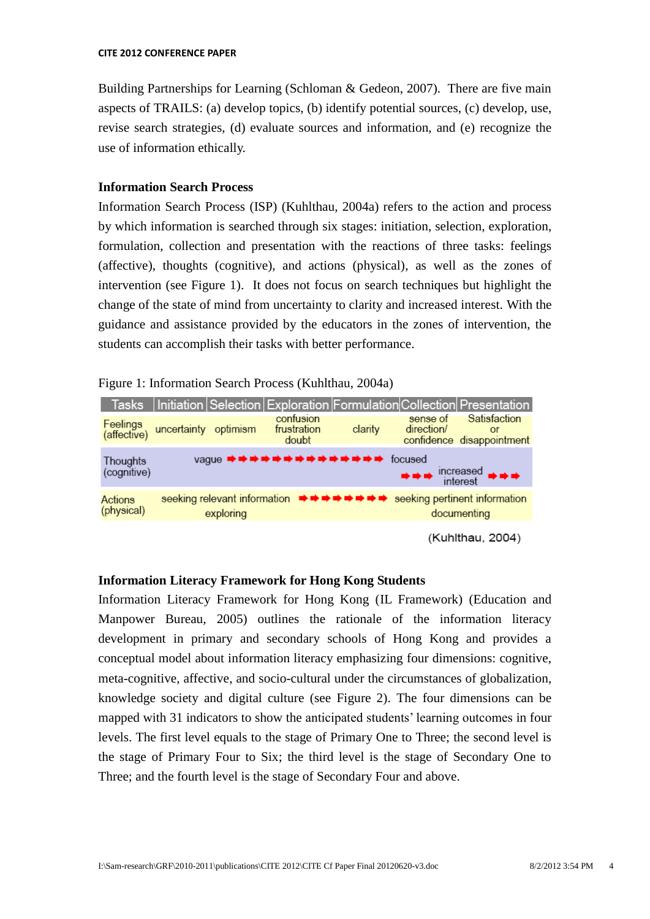Building Partnerships for Learning (Schloman & Gedeon, 2007). There are five main aspects of TRAILS: (a) develop topics, (b) identify potential sources, (c) develop, use, revise search strategies, (d) evaluate sources and information, and (e) recognize the use of information ethically.

## **Information Search Process**

Information Search Process (ISP) (Kuhlthau, 2004a) refers to the action and process by which information is searched through six stages: initiation, selection, exploration, formulation, collection and presentation with the reactions of three tasks: feelings (affective), thoughts (cognitive), and actions (physical), as well as the zones of intervention (see Figure 1). It does not focus on search techniques but highlight the change of the state of mind from uncertainty to clarity and increased interest. With the guidance and assistance provided by the educators in the zones of intervention, the students can accomplish their tasks with better performance.

Figure 1: Information Search Process (Kuhlthau, 2004a)



## **Information Literacy Framework for Hong Kong Students**

Information Literacy Framework for Hong Kong (IL Framework) (Education and Manpower Bureau, 2005) outlines the rationale of the information literacy development in primary and secondary schools of Hong Kong and provides a conceptual model about information literacy emphasizing four dimensions: cognitive, meta-cognitive, affective, and socio-cultural under the circumstances of globalization, knowledge society and digital culture (see Figure 2). The four dimensions can be mapped with 31 indicators to show the anticipated students' learning outcomes in four levels. The first level equals to the stage of Primary One to Three; the second level is the stage of Primary Four to Six; the third level is the stage of Secondary One to Three; and the fourth level is the stage of Secondary Four and above.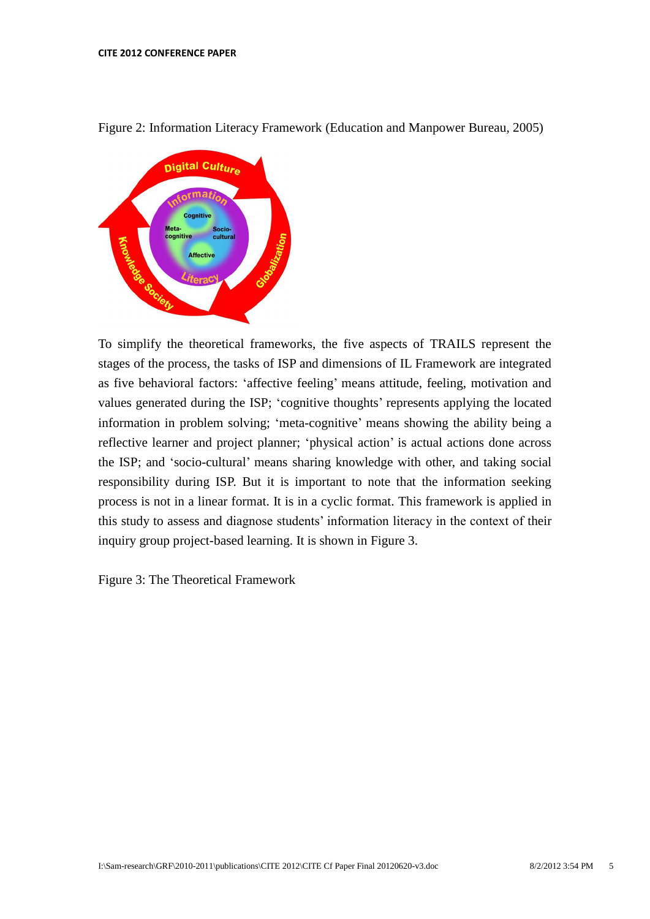

Figure 2: Information Literacy Framework (Education and Manpower Bureau, 2005)

To simplify the theoretical frameworks, the five aspects of TRAILS represent the stages of the process, the tasks of ISP and dimensions of IL Framework are integrated as five behavioral factors: 'affective feeling' means attitude, feeling, motivation and values generated during the ISP; 'cognitive thoughts' represents applying the located information in problem solving; "meta-cognitive" means showing the ability being a reflective learner and project planner; "physical action" is actual actions done across the ISP; and "socio-cultural" means sharing knowledge with other, and taking social responsibility during ISP. But it is important to note that the information seeking process is not in a linear format. It is in a cyclic format. This framework is applied in this study to assess and diagnose students' information literacy in the context of their inquiry group project-based learning. It is shown in Figure 3.

Figure 3: The Theoretical Framework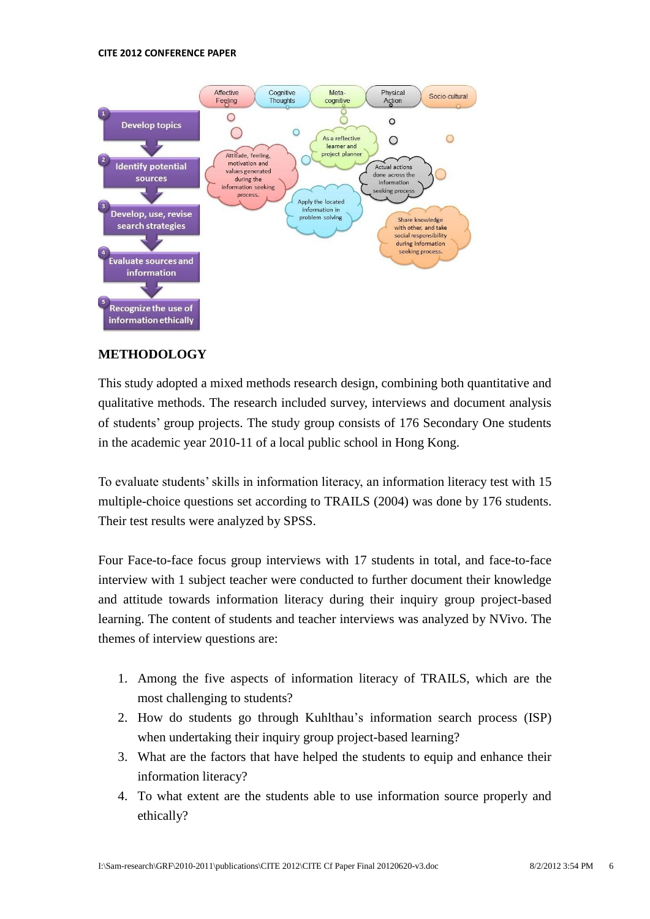#### **CITE 2012 CONFERENCE PAPER**



## **METHODOLOGY**

This study adopted a mixed methods research design, combining both quantitative and qualitative methods. The research included survey, interviews and document analysis of students" group projects. The study group consists of 176 Secondary One students in the academic year 2010-11 of a local public school in Hong Kong.

To evaluate students" skills in information literacy, an information literacy test with 15 multiple-choice questions set according to TRAILS (2004) was done by 176 students. Their test results were analyzed by SPSS.

Four Face-to-face focus group interviews with 17 students in total, and face-to-face interview with 1 subject teacher were conducted to further document their knowledge and attitude towards information literacy during their inquiry group project-based learning. The content of students and teacher interviews was analyzed by NVivo. The themes of interview questions are:

- 1. Among the five aspects of information literacy of TRAILS, which are the most challenging to students?
- 2. How do students go through Kuhlthau"s information search process (ISP) when undertaking their inquiry group project-based learning?
- 3. What are the factors that have helped the students to equip and enhance their information literacy?
- 4. To what extent are the students able to use information source properly and ethically?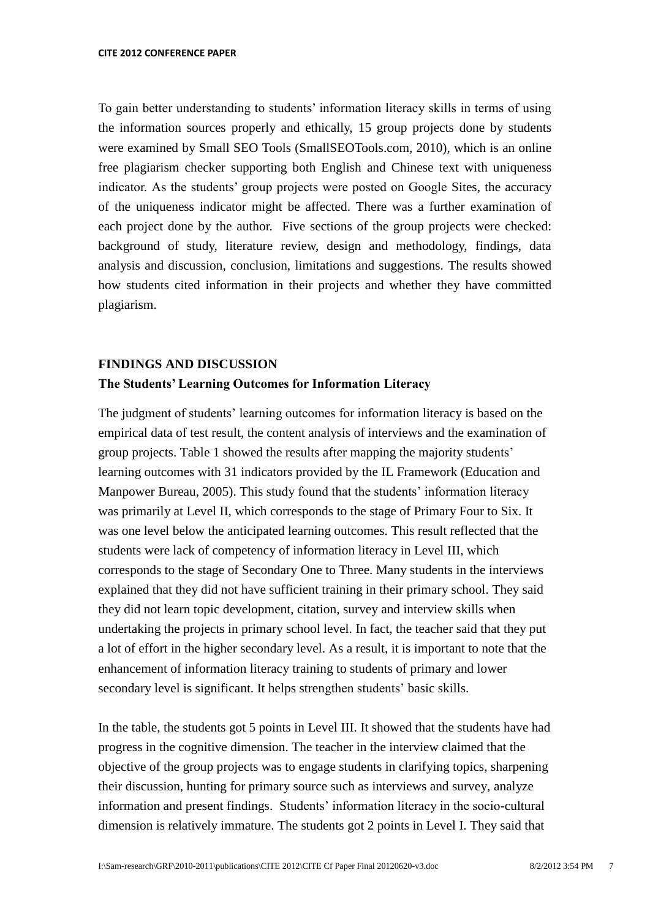To gain better understanding to students" information literacy skills in terms of using the information sources properly and ethically, 15 group projects done by students were examined by Small SEO Tools (SmallSEOTools.com, 2010), which is an online free plagiarism checker supporting both English and Chinese text with uniqueness indicator. As the students' group projects were posted on Google Sites, the accuracy of the uniqueness indicator might be affected. There was a further examination of each project done by the author. Five sections of the group projects were checked: background of study, literature review, design and methodology, findings, data analysis and discussion, conclusion, limitations and suggestions. The results showed how students cited information in their projects and whether they have committed plagiarism.

# **FINDINGS AND DISCUSSION The Students' Learning Outcomes for Information Literacy**

The judgment of students' learning outcomes for information literacy is based on the empirical data of test result, the content analysis of interviews and the examination of group projects. Table 1 showed the results after mapping the majority students" learning outcomes with 31 indicators provided by the IL Framework (Education and Manpower Bureau, 2005). This study found that the students' information literacy was primarily at Level II, which corresponds to the stage of Primary Four to Six. It was one level below the anticipated learning outcomes. This result reflected that the students were lack of competency of information literacy in Level III, which corresponds to the stage of Secondary One to Three. Many students in the interviews explained that they did not have sufficient training in their primary school. They said they did not learn topic development, citation, survey and interview skills when undertaking the projects in primary school level. In fact, the teacher said that they put a lot of effort in the higher secondary level. As a result, it is important to note that the enhancement of information literacy training to students of primary and lower secondary level is significant. It helps strengthen students' basic skills.

In the table, the students got 5 points in Level III. It showed that the students have had progress in the cognitive dimension. The teacher in the interview claimed that the objective of the group projects was to engage students in clarifying topics, sharpening their discussion, hunting for primary source such as interviews and survey, analyze information and present findings. Students' information literacy in the socio-cultural dimension is relatively immature. The students got 2 points in Level I. They said that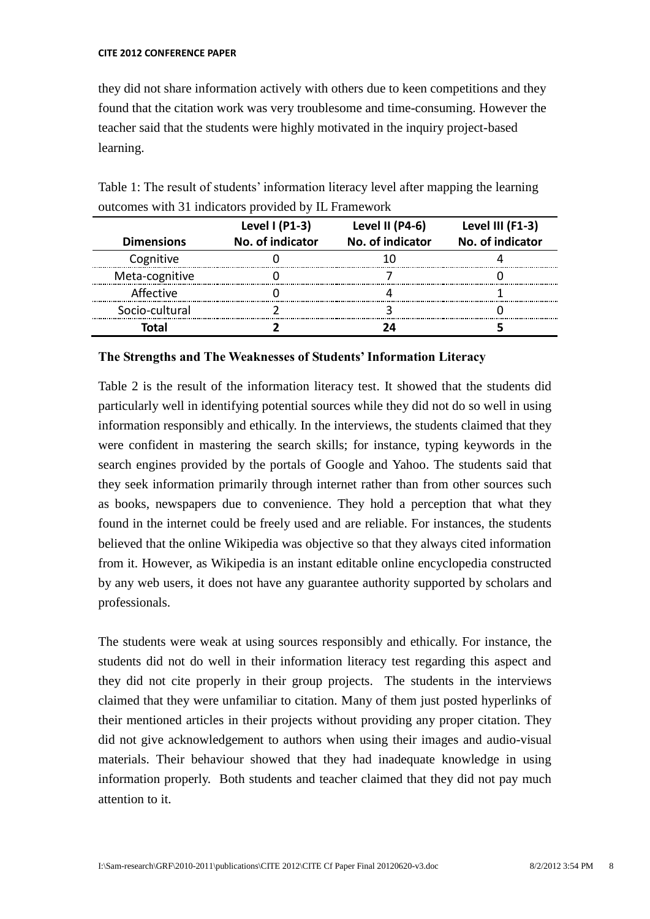they did not share information actively with others due to keen competitions and they found that the citation work was very troublesome and time-consuming. However the teacher said that the students were highly motivated in the inquiry project-based learning.

| Table 1: The result of students' information literacy level after mapping the learning |  |  |
|----------------------------------------------------------------------------------------|--|--|
| outcomes with 31 indicators provided by IL Framework                                   |  |  |

|                   | Level $(P1-3)$   | Level II (P4-6)  | Level III (F1-3) |
|-------------------|------------------|------------------|------------------|
| <b>Dimensions</b> | No. of indicator | No. of indicator | No. of indicator |
| Cognitive         |                  |                  |                  |
| Meta-cognitive    |                  |                  |                  |
| Affective         |                  |                  |                  |
| Socio-cultural    |                  |                  |                  |
| intal             |                  |                  |                  |

### **The Strengths and The Weaknesses of Students' Information Literacy**

Table 2 is the result of the information literacy test. It showed that the students did particularly well in identifying potential sources while they did not do so well in using information responsibly and ethically. In the interviews, the students claimed that they were confident in mastering the search skills; for instance, typing keywords in the search engines provided by the portals of Google and Yahoo. The students said that they seek information primarily through internet rather than from other sources such as books, newspapers due to convenience. They hold a perception that what they found in the internet could be freely used and are reliable. For instances, the students believed that the online Wikipedia was objective so that they always cited information from it. However, as Wikipedia is an instant editable online encyclopedia constructed by any web users, it does not have any guarantee authority supported by scholars and professionals.

The students were weak at using sources responsibly and ethically. For instance, the students did not do well in their information literacy test regarding this aspect and they did not cite properly in their group projects. The students in the interviews claimed that they were unfamiliar to citation. Many of them just posted hyperlinks of their mentioned articles in their projects without providing any proper citation. They did not give acknowledgement to authors when using their images and audio-visual materials. Their behaviour showed that they had inadequate knowledge in using information properly. Both students and teacher claimed that they did not pay much attention to it.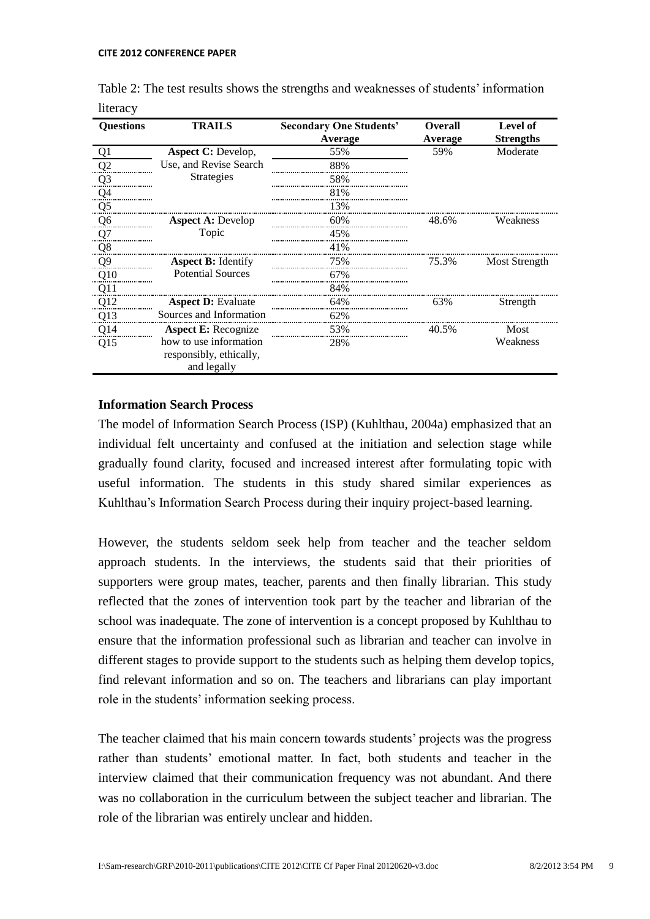| <b>Questions</b> | <b>TRAILS</b>                                                    | <b>Secondary One Students'</b><br>Average | <b>Overall</b><br>Average | Level of<br><b>Strengths</b> |
|------------------|------------------------------------------------------------------|-------------------------------------------|---------------------------|------------------------------|
| Q <sub>1</sub>   | <b>Aspect C: Develop,</b>                                        | 55%                                       | 59%                       | Moderate                     |
| Q2               | Use, and Revise Search                                           | 88%                                       |                           |                              |
| $Q_3$            | Strategies                                                       | 58%                                       |                           |                              |
| Q <sub>4</sub>   |                                                                  | 81%                                       |                           |                              |
| Q <sub>5</sub>   |                                                                  | 13%                                       |                           |                              |
| Q6               | <b>Aspect A: Develop</b>                                         | 60%                                       | 48.6%                     | Weakness                     |
| Q7               | Topic                                                            | 45%                                       |                           |                              |
| Q <sub>8</sub>   |                                                                  | 41%                                       |                           |                              |
| $Q_2^0$          | <b>Aspect B:</b> Identify                                        | 75%                                       | 75.3%                     | Most Strength                |
| Q10              | <b>Potential Sources</b>                                         | 67%                                       |                           |                              |
| Q11              |                                                                  | 84%                                       |                           |                              |
| Q12              | <b>Aspect D: Evaluate</b>                                        | 64%                                       | 63%                       | Strength                     |
| Q13              | Sources and Information                                          | 62%                                       |                           |                              |
| Q14              | <b>Aspect E:</b> Recognize                                       | 53%                                       | 40.5%                     | Most                         |
| Q15              | how to use information<br>responsibly, ethically,<br>and legally | 28%                                       |                           | Weakness                     |

| Table 2: The test results shows the strengths and weaknesses of students' information |  |
|---------------------------------------------------------------------------------------|--|
| literacy                                                                              |  |

# **Information Search Process**

The model of Information Search Process (ISP) (Kuhlthau, 2004a) emphasized that an individual felt uncertainty and confused at the initiation and selection stage while gradually found clarity, focused and increased interest after formulating topic with useful information. The students in this study shared similar experiences as Kuhlthau"s Information Search Process during their inquiry project-based learning.

However, the students seldom seek help from teacher and the teacher seldom approach students. In the interviews, the students said that their priorities of supporters were group mates, teacher, parents and then finally librarian. This study reflected that the zones of intervention took part by the teacher and librarian of the school was inadequate. The zone of intervention is a concept proposed by Kuhlthau to ensure that the information professional such as librarian and teacher can involve in different stages to provide support to the students such as helping them develop topics, find relevant information and so on. The teachers and librarians can play important role in the students' information seeking process.

The teacher claimed that his main concern towards students' projects was the progress rather than students" emotional matter. In fact, both students and teacher in the interview claimed that their communication frequency was not abundant. And there was no collaboration in the curriculum between the subject teacher and librarian. The role of the librarian was entirely unclear and hidden.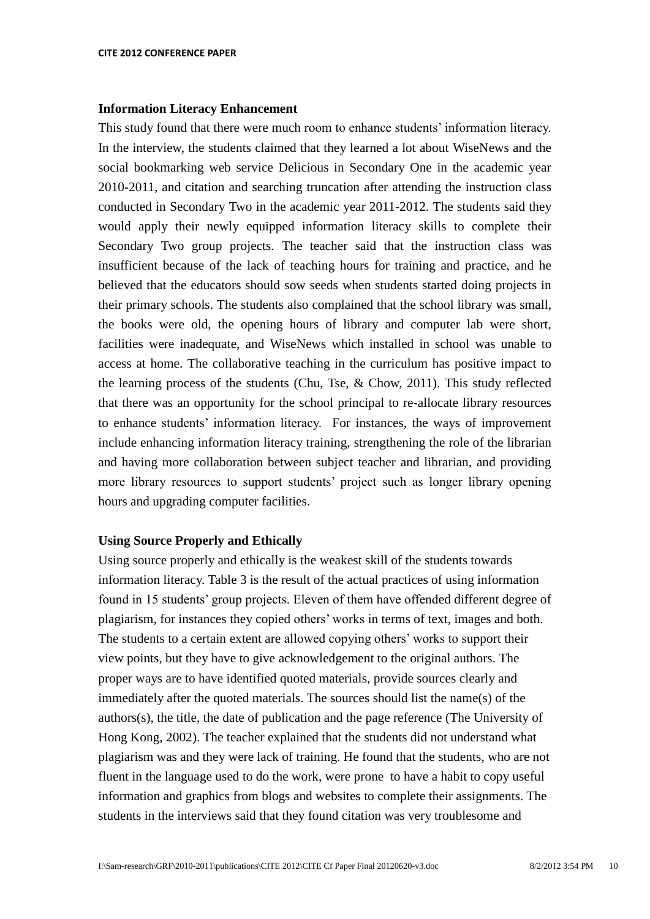#### **Information Literacy Enhancement**

This study found that there were much room to enhance students" information literacy. In the interview, the students claimed that they learned a lot about WiseNews and the social bookmarking web service Delicious in Secondary One in the academic year 2010-2011, and citation and searching truncation after attending the instruction class conducted in Secondary Two in the academic year 2011-2012. The students said they would apply their newly equipped information literacy skills to complete their Secondary Two group projects. The teacher said that the instruction class was insufficient because of the lack of teaching hours for training and practice, and he believed that the educators should sow seeds when students started doing projects in their primary schools. The students also complained that the school library was small, the books were old, the opening hours of library and computer lab were short, facilities were inadequate, and WiseNews which installed in school was unable to access at home. The collaborative teaching in the curriculum has positive impact to the learning process of the students (Chu, Tse, & Chow, 2011). This study reflected that there was an opportunity for the school principal to re-allocate library resources to enhance students" information literacy. For instances, the ways of improvement include enhancing information literacy training, strengthening the role of the librarian and having more collaboration between subject teacher and librarian, and providing more library resources to support students" project such as longer library opening hours and upgrading computer facilities.

#### **Using Source Properly and Ethically**

Using source properly and ethically is the weakest skill of the students towards information literacy. Table 3 is the result of the actual practices of using information found in 15 students" group projects. Eleven of them have offended different degree of plagiarism, for instances they copied others" works in terms of text, images and both. The students to a certain extent are allowed copying others" works to support their view points, but they have to give acknowledgement to the original authors. The proper ways are to have identified quoted materials, provide sources clearly and immediately after the quoted materials. The sources should list the name(s) of the authors(s), the title, the date of publication and the page reference (The University of Hong Kong, 2002). The teacher explained that the students did not understand what plagiarism was and they were lack of training. He found that the students, who are not fluent in the language used to do the work, were prone to have a habit to copy useful information and graphics from blogs and websites to complete their assignments. The students in the interviews said that they found citation was very troublesome and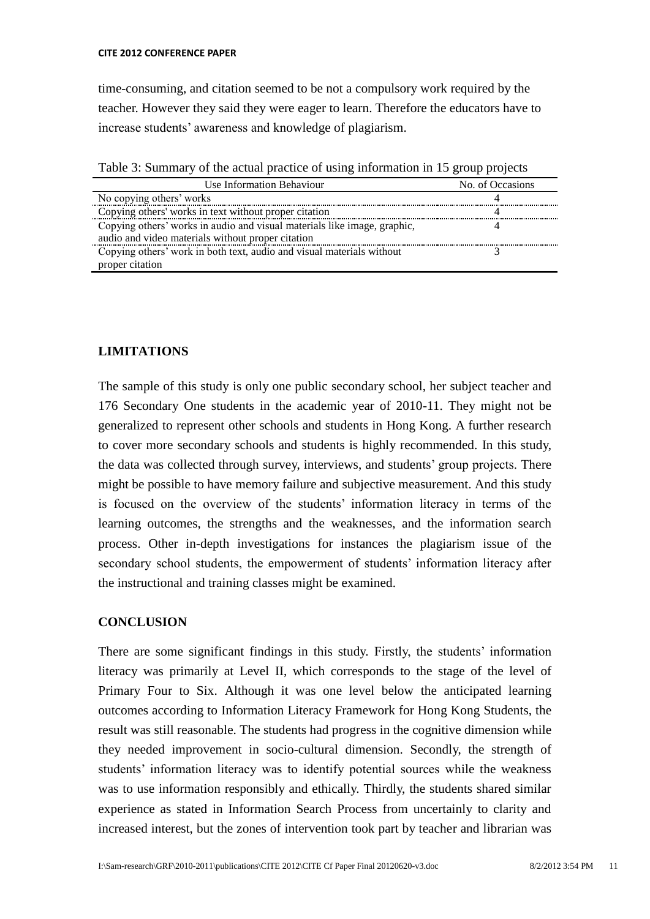time-consuming, and citation seemed to be not a compulsory work required by the teacher. However they said they were eager to learn. Therefore the educators have to increase students" awareness and knowledge of plagiarism.

Table 3: Summary of the actual practice of using information in 15 group projects

| Use Information Behaviour                                                | No. of Occasions |
|--------------------------------------------------------------------------|------------------|
| No copying others' works                                                 |                  |
| Copying others' works in text without proper citation                    |                  |
| Copying others' works in audio and visual materials like image, graphic, |                  |
| audio and video materials without proper citation                        |                  |
| Copying others' work in both text, audio and visual materials without    |                  |
| proper citation                                                          |                  |

# **LIMITATIONS**

The sample of this study is only one public secondary school, her subject teacher and 176 Secondary One students in the academic year of 2010-11. They might not be generalized to represent other schools and students in Hong Kong. A further research to cover more secondary schools and students is highly recommended. In this study, the data was collected through survey, interviews, and students" group projects. There might be possible to have memory failure and subjective measurement. And this study is focused on the overview of the students" information literacy in terms of the learning outcomes, the strengths and the weaknesses, and the information search process. Other in-depth investigations for instances the plagiarism issue of the secondary school students, the empowerment of students' information literacy after the instructional and training classes might be examined.

# **CONCLUSION**

There are some significant findings in this study. Firstly, the students' information literacy was primarily at Level II, which corresponds to the stage of the level of Primary Four to Six. Although it was one level below the anticipated learning outcomes according to Information Literacy Framework for Hong Kong Students, the result was still reasonable. The students had progress in the cognitive dimension while they needed improvement in socio-cultural dimension. Secondly, the strength of students' information literacy was to identify potential sources while the weakness was to use information responsibly and ethically. Thirdly, the students shared similar experience as stated in Information Search Process from uncertainly to clarity and increased interest, but the zones of intervention took part by teacher and librarian was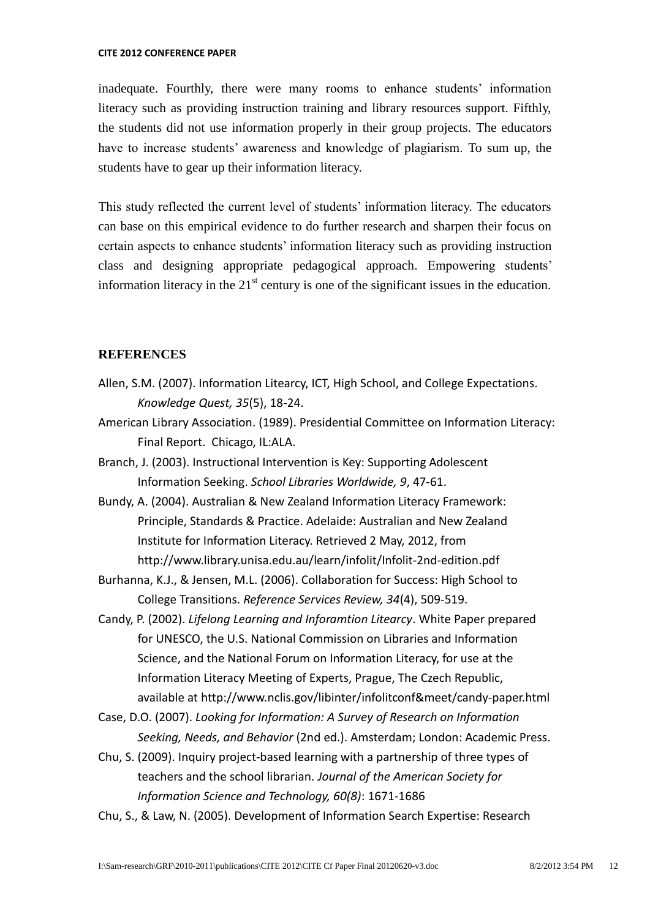inadequate. Fourthly, there were many rooms to enhance students' information literacy such as providing instruction training and library resources support. Fifthly, the students did not use information properly in their group projects. The educators have to increase students' awareness and knowledge of plagiarism. To sum up, the students have to gear up their information literacy.

This study reflected the current level of students' information literacy. The educators can base on this empirical evidence to do further research and sharpen their focus on certain aspects to enhance students" information literacy such as providing instruction class and designing appropriate pedagogical approach. Empowering students" information literacy in the  $21<sup>st</sup>$  century is one of the significant issues in the education.

## **REFERENCES**

- Allen, S.M. (2007). Information Litearcy, ICT, High School, and College Expectations. *Knowledge Quest, 35*(5), 18-24.
- American Library Association. (1989). Presidential Committee on Information Literacy: Final Report. Chicago, IL:ALA.
- Branch, J. (2003). Instructional Intervention is Key: Supporting Adolescent Information Seeking. *School Libraries Worldwide, 9*, 47-61.
- Bundy, A. (2004). Australian & New Zealand Information Literacy Framework: Principle, Standards & Practice. Adelaide: Australian and New Zealand Institute for Information Literacy. Retrieved 2 May, 2012, from http://www.library.unisa.edu.au/learn/infolit/Infolit-2nd-edition.pdf
- Burhanna, K.J., & Jensen, M.L. (2006). Collaboration for Success: High School to College Transitions. *Reference Services Review, 34*(4), 509-519.
- Candy, P. (2002). *Lifelong Learning and Inforamtion Litearcy*. White Paper prepared for UNESCO, the U.S. National Commission on Libraries and Information Science, and the National Forum on Information Literacy, for use at the Information Literacy Meeting of Experts, Prague, The Czech Republic, available at http://www.nclis.gov/libinter/infolitconf&meet/candy-paper.html
- Case, D.O. (2007). *Looking for Information: A Survey of Research on Information Seeking, Needs, and Behavior* (2nd ed.). Amsterdam; London: Academic Press.
- Chu, S. (2009). Inquiry project-based learning with a partnership of three types of teachers and the school librarian. *Journal of the American Society for Information Science and Technology, 60(8)*: 1671-1686

Chu, S., & Law, N. (2005). Development of Information Search Expertise: Research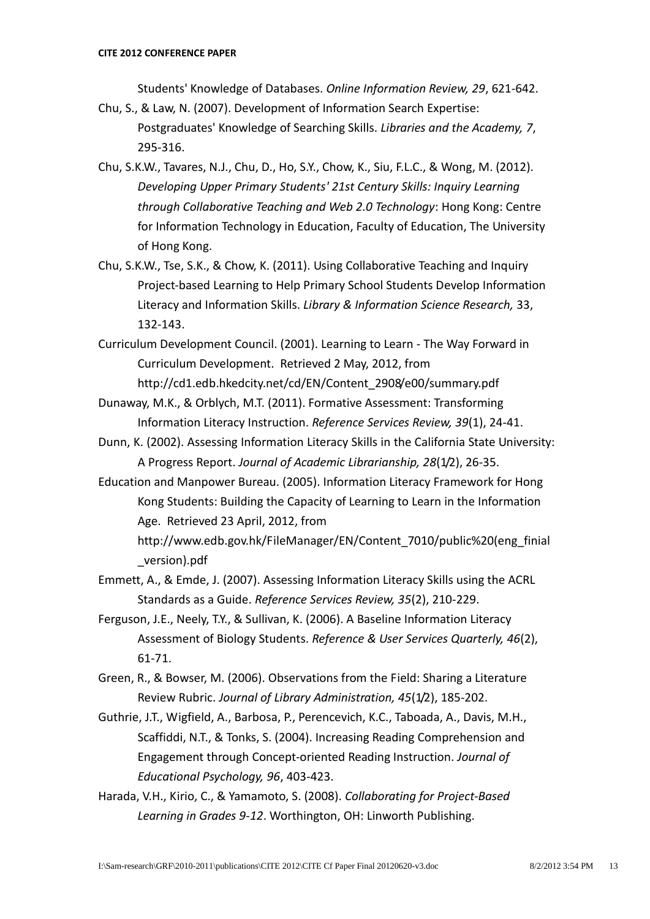Students' Knowledge of Databases. *Online Information Review, 29*, 621-642.

- Chu, S., & Law, N. (2007). Development of Information Search Expertise: Postgraduates' Knowledge of Searching Skills. *Libraries and the Academy, 7*, 295-316.
- Chu, S.K.W., Tavares, N.J., Chu, D., Ho, S.Y., Chow, K., Siu, F.L.C., & Wong, M. (2012). *Developing Upper Primary Students' 21st Century Skills: Inquiry Learning through Collaborative Teaching and Web 2.0 Technology*: Hong Kong: Centre for Information Technology in Education, Faculty of Education, The University of Hong Kong.
- Chu, S.K.W., Tse, S.K., & Chow, K. (2011). Using Collaborative Teaching and Inquiry Project-based Learning to Help Primary School Students Develop Information Literacy and Information Skills. *Library & Information Science Research,* 33, 132-143.
- Curriculum Development Council. (2001). Learning to Learn The Way Forward in Curriculum Development. Retrieved 2 May, 2012, from http://cd1.edb.hkedcity.net/cd/EN/Content\_2908/e00/summary.pdf
- Dunaway, M.K., & Orblych, M.T. (2011). Formative Assessment: Transforming Information Literacy Instruction. *Reference Services Review, 39*(1), 24-41.
- Dunn, K. (2002). Assessing Information Literacy Skills in the California State University: A Progress Report. *Journal of Academic Librarianship, 28*(1/2), 26-35.
- Education and Manpower Bureau. (2005). Information Literacy Framework for Hong Kong Students: Building the Capacity of Learning to Learn in the Information Age. Retrieved 23 April, 2012, from

http://www.edb.gov.hk/FileManager/EN/Content\_7010/public%20(eng\_finial \_version).pdf

- Emmett, A., & Emde, J. (2007). Assessing Information Literacy Skills using the ACRL Standards as a Guide. *Reference Services Review, 35*(2), 210-229.
- Ferguson, J.E., Neely, T.Y., & Sullivan, K. (2006). A Baseline Information Literacy Assessment of Biology Students. *Reference & User Services Quarterly, 46*(2), 61-71.
- Green, R., & Bowser, M. (2006). Observations from the Field: Sharing a Literature Review Rubric. *Journal of Library Administration, 45*(1/2), 185-202.
- Guthrie, J.T., Wigfield, A., Barbosa, P., Perencevich, K.C., Taboada, A., Davis, M.H., Scaffiddi, N.T., & Tonks, S. (2004). Increasing Reading Comprehension and Engagement through Concept-oriented Reading Instruction. *Journal of Educational Psychology, 96*, 403-423.
- Harada, V.H., Kirio, C., & Yamamoto, S. (2008). *Collaborating for Project-Based Learning in Grades 9-12*. Worthington, OH: Linworth Publishing.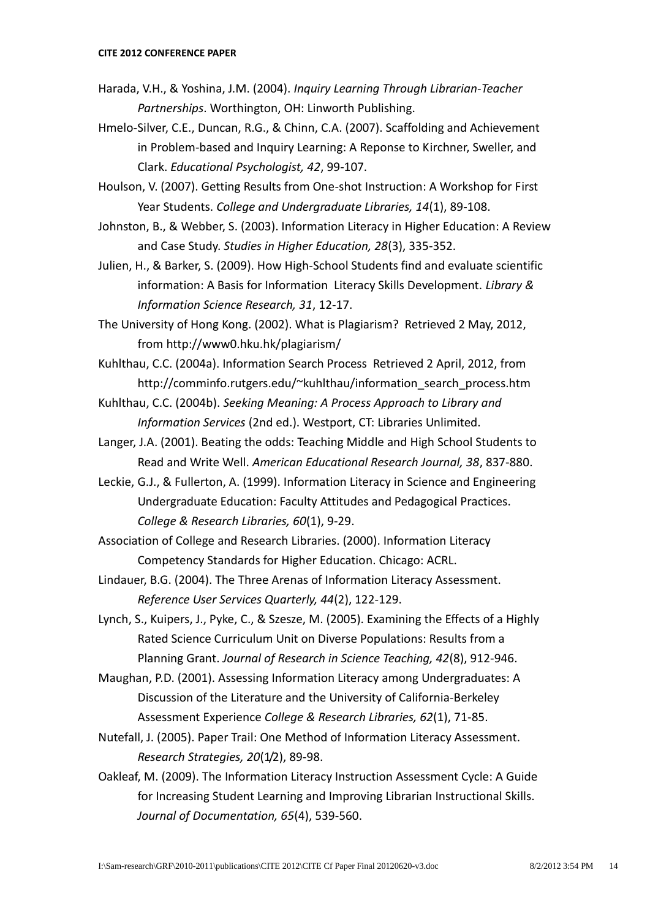- Harada, V.H., & Yoshina, J.M. (2004). *Inquiry Learning Through Librarian-Teacher Partnerships*. Worthington, OH: Linworth Publishing.
- Hmelo-Silver, C.E., Duncan, R.G., & Chinn, C.A. (2007). Scaffolding and Achievement in Problem-based and Inquiry Learning: A Reponse to Kirchner, Sweller, and Clark. *Educational Psychologist, 42*, 99-107.
- Houlson, V. (2007). Getting Results from One-shot Instruction: A Workshop for First Year Students. *College and Undergraduate Libraries, 14*(1), 89-108.
- Johnston, B., & Webber, S. (2003). Information Literacy in Higher Education: A Review and Case Study. *Studies in Higher Education, 28*(3), 335-352.
- Julien, H., & Barker, S. (2009). How High-School Students find and evaluate scientific information: A Basis for Information Literacy Skills Development. *Library & Information Science Research, 31*, 12-17.
- The University of Hong Kong. (2002). What is Plagiarism? Retrieved 2 May, 2012, from http://www0.hku.hk/plagiarism/
- Kuhlthau, C.C. (2004a). Information Search Process Retrieved 2 April, 2012, from http://comminfo.rutgers.edu/~kuhlthau/information search process.htm
- Kuhlthau, C.C. (2004b). *Seeking Meaning: A Process Approach to Library and Information Services* (2nd ed.). Westport, CT: Libraries Unlimited.
- Langer, J.A. (2001). Beating the odds: Teaching Middle and High School Students to Read and Write Well. *American Educational Research Journal, 38*, 837-880.
- Leckie, G.J., & Fullerton, A. (1999). Information Literacy in Science and Engineering Undergraduate Education: Faculty Attitudes and Pedagogical Practices. *College & Research Libraries, 60*(1), 9-29.
- Association of College and Research Libraries. (2000). Information Literacy Competency Standards for Higher Education. Chicago: ACRL.
- Lindauer, B.G. (2004). The Three Arenas of Information Literacy Assessment. *Reference User Services Quarterly, 44*(2), 122-129.
- Lynch, S., Kuipers, J., Pyke, C., & Szesze, M. (2005). Examining the Effects of a Highly Rated Science Curriculum Unit on Diverse Populations: Results from a Planning Grant. *Journal of Research in Science Teaching, 42*(8), 912-946.
- Maughan, P.D. (2001). Assessing Information Literacy among Undergraduates: A Discussion of the Literature and the University of California-Berkeley Assessment Experience *College & Research Libraries, 62*(1), 71-85.
- Nutefall, J. (2005). Paper Trail: One Method of Information Literacy Assessment. *Research Strategies, 20*(1/2), 89-98.
- Oakleaf, M. (2009). The Information Literacy Instruction Assessment Cycle: A Guide for Increasing Student Learning and Improving Librarian Instructional Skills. *Journal of Documentation, 65*(4), 539-560.